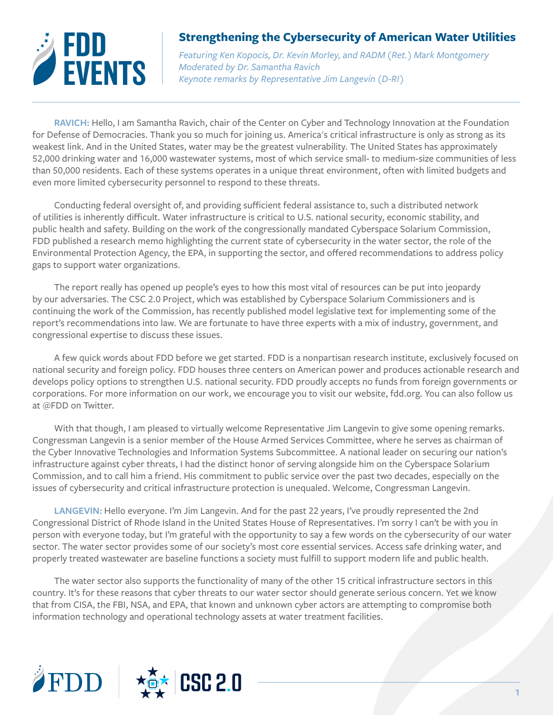

*Featuring Ken Kopocis, Dr. Kevin Morley, and RADM (Ret.) Mark Montgomery Moderated by Dr. Samantha Ravich Keynote remarks by Representative Jim Langevin (D-RI)*

**RAVICH:** Hello, I am Samantha Ravich, chair of the Center on Cyber and Technology Innovation at the Foundation for Defense of Democracies. Thank you so much for joining us. America's critical infrastructure is only as strong as its weakest link. And in the United States, water may be the greatest vulnerability. The United States has approximately 52,000 drinking water and 16,000 wastewater systems, most of which service small- to medium-size communities of less than 50,000 residents. Each of these systems operates in a unique threat environment, often with limited budgets and even more limited cybersecurity personnel to respond to these threats.

Conducting federal oversight of, and providing sufficient federal assistance to, such a distributed network of utilities is inherently difficult. Water infrastructure is critical to U.S. national security, economic stability, and public health and safety. Building on the work of the congressionally mandated Cyberspace Solarium Commission, FDD published a research memo highlighting the current state of cybersecurity in the water sector, the role of the Environmental Protection Agency, the EPA, in supporting the sector, and offered recommendations to address policy gaps to support water organizations.

The report really has opened up people's eyes to how this most vital of resources can be put into jeopardy by our adversaries. The CSC 2.0 Project, which was established by Cyberspace Solarium Commissioners and is continuing the work of the Commission, has recently published model legislative text for implementing some of the report's recommendations into law. We are fortunate to have three experts with a mix of industry, government, and congressional expertise to discuss these issues.

A few quick words about FDD before we get started. FDD is a nonpartisan research institute, exclusively focused on national security and foreign policy. FDD houses three centers on American power and produces actionable research and develops policy options to strengthen U.S. national security. FDD proudly accepts no funds from foreign governments or corporations. For more information on our work, we encourage you to visit our website, fdd.org. You can also follow us at @FDD on Twitter.

With that though, I am pleased to virtually welcome Representative Jim Langevin to give some opening remarks. Congressman Langevin is a senior member of the House Armed Services Committee, where he serves as chairman of the Cyber Innovative Technologies and Information Systems Subcommittee. A national leader on securing our nation's infrastructure against cyber threats, I had the distinct honor of serving alongside him on the Cyberspace Solarium Commission, and to call him a friend. His commitment to public service over the past two decades, especially on the issues of cybersecurity and critical infrastructure protection is unequaled. Welcome, Congressman Langevin.

**LANGEVIN:** Hello everyone. I'm Jim Langevin. And for the past 22 years, I've proudly represented the 2nd Congressional District of Rhode Island in the United States House of Representatives. I'm sorry I can't be with you in person with everyone today, but I'm grateful with the opportunity to say a few words on the cybersecurity of our water sector. The water sector provides some of our society's most core essential services. Access safe drinking water, and properly treated wastewater are baseline functions a society must fulfill to support modern life and public health.

The water sector also supports the functionality of many of the other 15 critical infrastructure sectors in this country. It's for these reasons that cyber threats to our water sector should generate serious concern. Yet we know that from CISA, the FBI, NSA, and EPA, that known and unknown cyber actors are attempting to compromise both information technology and operational technology assets at water treatment facilities.

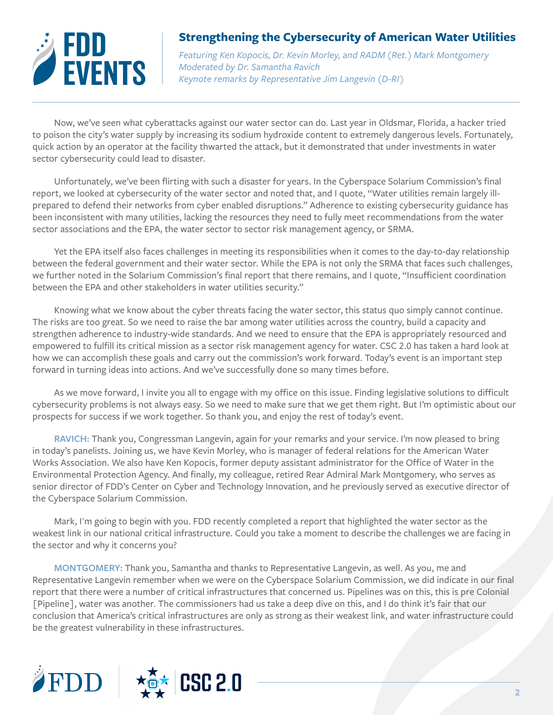

*Featuring Ken Kopocis, Dr. Kevin Morley, and RADM (Ret.) Mark Montgomery Moderated by Dr. Samantha Ravich Keynote remarks by Representative Jim Langevin (D-RI)*

Now, we've seen what cyberattacks against our water sector can do. Last year in Oldsmar, Florida, a hacker tried to poison the city's water supply by increasing its sodium hydroxide content to extremely dangerous levels. Fortunately, quick action by an operator at the facility thwarted the attack, but it demonstrated that under investments in water sector cybersecurity could lead to disaster.

Unfortunately, we've been flirting with such a disaster for years. In the Cyberspace Solarium Commission's final report, we looked at cybersecurity of the water sector and noted that, and I quote, "Water utilities remain largely illprepared to defend their networks from cyber enabled disruptions." Adherence to existing cybersecurity guidance has been inconsistent with many utilities, lacking the resources they need to fully meet recommendations from the water sector associations and the EPA, the water sector to sector risk management agency, or SRMA.

Yet the EPA itself also faces challenges in meeting its responsibilities when it comes to the day-to-day relationship between the federal government and their water sector. While the EPA is not only the SRMA that faces such challenges, we further noted in the Solarium Commission's final report that there remains, and I quote, "Insufficient coordination between the EPA and other stakeholders in water utilities security."

Knowing what we know about the cyber threats facing the water sector, this status quo simply cannot continue. The risks are too great. So we need to raise the bar among water utilities across the country, build a capacity and strengthen adherence to industry-wide standards. And we need to ensure that the EPA is appropriately resourced and empowered to fulfill its critical mission as a sector risk management agency for water. CSC 2.0 has taken a hard look at how we can accomplish these goals and carry out the commission's work forward. Today's event is an important step forward in turning ideas into actions. And we've successfully done so many times before.

As we move forward, I invite you all to engage with my office on this issue. Finding legislative solutions to difficult cybersecurity problems is not always easy. So we need to make sure that we get them right. But I'm optimistic about our prospects for success if we work together. So thank you, and enjoy the rest of today's event.

**RAVICH:** Thank you, Congressman Langevin, again for your remarks and your service. I'm now pleased to bring in today's panelists. Joining us, we have Kevin Morley, who is manager of federal relations for the American Water Works Association. We also have Ken Kopocis, former deputy assistant administrator for the Office of Water in the Environmental Protection Agency. And finally, my colleague, retired Rear Admiral Mark Montgomery, who serves as senior director of FDD's Center on Cyber and Technology Innovation, and he previously served as executive director of the Cyberspace Solarium Commission.

Mark, I'm going to begin with you. FDD recently completed a report that highlighted the water sector as the weakest link in our national critical infrastructure. Could you take a moment to describe the challenges we are facing in the sector and why it concerns you?

**MONTGOMERY:** Thank you, Samantha and thanks to Representative Langevin, as well. As you, me and Representative Langevin remember when we were on the Cyberspace Solarium Commission, we did indicate in our final report that there were a number of critical infrastructures that concerned us. Pipelines was on this, this is pre Colonial [Pipeline], water was another. The commissioners had us take a deep dive on this, and I do think it's fair that our conclusion that America's critical infrastructures are only as strong as their weakest link, and water infrastructure could be the greatest vulnerability in these infrastructures.

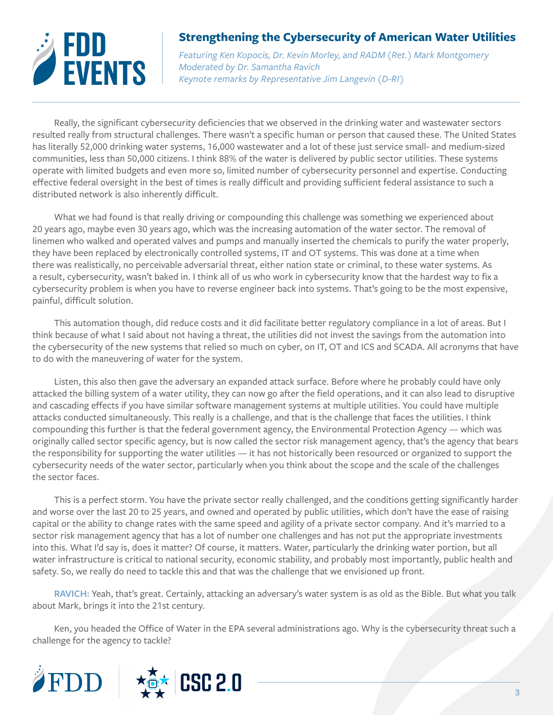

*Featuring Ken Kopocis, Dr. Kevin Morley, and RADM (Ret.) Mark Montgomery Moderated by Dr. Samantha Ravich Keynote remarks by Representative Jim Langevin (D-RI)*

Really, the significant cybersecurity deficiencies that we observed in the drinking water and wastewater sectors resulted really from structural challenges. There wasn't a specific human or person that caused these. The United States has literally 52,000 drinking water systems, 16,000 wastewater and a lot of these just service small- and medium-sized communities, less than 50,000 citizens. I think 88% of the water is delivered by public sector utilities. These systems operate with limited budgets and even more so, limited number of cybersecurity personnel and expertise. Conducting effective federal oversight in the best of times is really difficult and providing sufficient federal assistance to such a distributed network is also inherently difficult.

What we had found is that really driving or compounding this challenge was something we experienced about 20 years ago, maybe even 30 years ago, which was the increasing automation of the water sector. The removal of linemen who walked and operated valves and pumps and manually inserted the chemicals to purify the water properly, they have been replaced by electronically controlled systems, IT and OT systems. This was done at a time when there was realistically, no perceivable adversarial threat, either nation state or criminal, to these water systems. As a result, cybersecurity, wasn't baked in. I think all of us who work in cybersecurity know that the hardest way to fix a cybersecurity problem is when you have to reverse engineer back into systems. That's going to be the most expensive, painful, difficult solution.

This automation though, did reduce costs and it did facilitate better regulatory compliance in a lot of areas. But I think because of what I said about not having a threat, the utilities did not invest the savings from the automation into the cybersecurity of the new systems that relied so much on cyber, on IT, OT and ICS and SCADA. All acronyms that have to do with the maneuvering of water for the system.

Listen, this also then gave the adversary an expanded attack surface. Before where he probably could have only attacked the billing system of a water utility, they can now go after the field operations, and it can also lead to disruptive and cascading effects if you have similar software management systems at multiple utilities. You could have multiple attacks conducted simultaneously. This really is a challenge, and that is the challenge that faces the utilities. I think compounding this further is that the federal government agency, the Environmental Protection Agency — which was originally called sector specific agency, but is now called the sector risk management agency, that's the agency that bears the responsibility for supporting the water utilities — it has not historically been resourced or organized to support the cybersecurity needs of the water sector, particularly when you think about the scope and the scale of the challenges the sector faces.

This is a perfect storm. You have the private sector really challenged, and the conditions getting significantly harder and worse over the last 20 to 25 years, and owned and operated by public utilities, which don't have the ease of raising capital or the ability to change rates with the same speed and agility of a private sector company. And it's married to a sector risk management agency that has a lot of number one challenges and has not put the appropriate investments into this. What I'd say is, does it matter? Of course, it matters. Water, particularly the drinking water portion, but all water infrastructure is critical to national security, economic stability, and probably most importantly, public health and safety. So, we really do need to tackle this and that was the challenge that we envisioned up front.

**RAVICH:** Yeah, that's great. Certainly, attacking an adversary's water system is as old as the Bible. But what you talk about Mark, brings it into the 21st century.

Ken, you headed the Office of Water in the EPA several administrations ago. Why is the cybersecurity threat such a challenge for the agency to tackle?

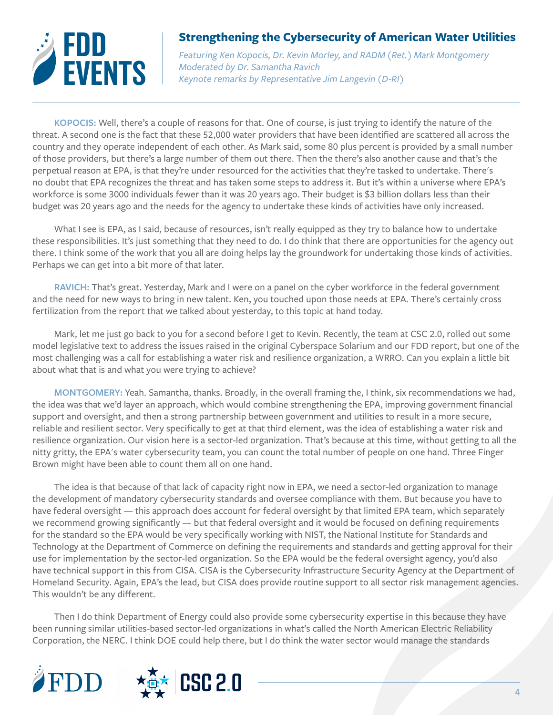

*Featuring Ken Kopocis, Dr. Kevin Morley, and RADM (Ret.) Mark Montgomery Moderated by Dr. Samantha Ravich Keynote remarks by Representative Jim Langevin (D-RI)*

**KOPOCIS:** Well, there's a couple of reasons for that. One of course, is just trying to identify the nature of the threat. A second one is the fact that these 52,000 water providers that have been identified are scattered all across the country and they operate independent of each other. As Mark said, some 80 plus percent is provided by a small number of those providers, but there's a large number of them out there. Then the there's also another cause and that's the perpetual reason at EPA, is that they're under resourced for the activities that they're tasked to undertake. There's no doubt that EPA recognizes the threat and has taken some steps to address it. But it's within a universe where EPA's workforce is some 3000 individuals fewer than it was 20 years ago. Their budget is \$3 billion dollars less than their budget was 20 years ago and the needs for the agency to undertake these kinds of activities have only increased.

What I see is EPA, as I said, because of resources, isn't really equipped as they try to balance how to undertake these responsibilities. It's just something that they need to do. I do think that there are opportunities for the agency out there. I think some of the work that you all are doing helps lay the groundwork for undertaking those kinds of activities. Perhaps we can get into a bit more of that later.

**RAVICH:** That's great. Yesterday, Mark and I were on a panel on the cyber workforce in the federal government and the need for new ways to bring in new talent. Ken, you touched upon those needs at EPA. There's certainly cross fertilization from the report that we talked about yesterday, to this topic at hand today.

Mark, let me just go back to you for a second before I get to Kevin. Recently, the team at CSC 2.0, rolled out some model legislative text to address the issues raised in the original Cyberspace Solarium and our FDD report, but one of the most challenging was a call for establishing a water risk and resilience organization, a WRRO. Can you explain a little bit about what that is and what you were trying to achieve?

**MONTGOMERY:** Yeah. Samantha, thanks. Broadly, in the overall framing the, I think, six recommendations we had, the idea was that we'd layer an approach, which would combine strengthening the EPA, improving government financial support and oversight, and then a strong partnership between government and utilities to result in a more secure, reliable and resilient sector. Very specifically to get at that third element, was the idea of establishing a water risk and resilience organization. Our vision here is a sector-led organization. That's because at this time, without getting to all the nitty gritty, the EPA's water cybersecurity team, you can count the total number of people on one hand. Three Finger Brown might have been able to count them all on one hand.

The idea is that because of that lack of capacity right now in EPA, we need a sector-led organization to manage the development of mandatory cybersecurity standards and oversee compliance with them. But because you have to have federal oversight — this approach does account for federal oversight by that limited EPA team, which separately we recommend growing significantly — but that federal oversight and it would be focused on defining requirements for the standard so the EPA would be very specifically working with NIST, the National Institute for Standards and Technology at the Department of Commerce on defining the requirements and standards and getting approval for their use for implementation by the sector-led organization. So the EPA would be the federal oversight agency, you'd also have technical support in this from CISA. CISA is the Cybersecurity Infrastructure Security Agency at the Department of Homeland Security. Again, EPA's the lead, but CISA does provide routine support to all sector risk management agencies. This wouldn't be any different.

Then I do think Department of Energy could also provide some cybersecurity expertise in this because they have been running similar utilities-based sector-led organizations in what's called the North American Electric Reliability Corporation, the NERC. I think DOE could help there, but I do think the water sector would manage the standards

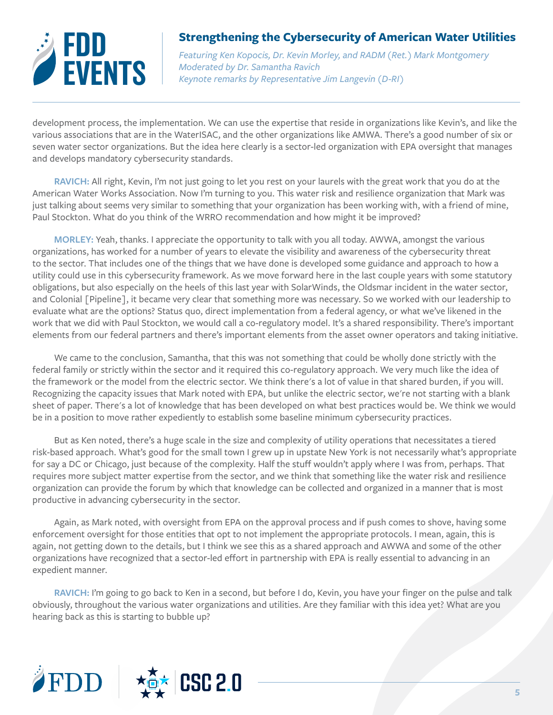

*Featuring Ken Kopocis, Dr. Kevin Morley, and RADM (Ret.) Mark Montgomery Moderated by Dr. Samantha Ravich Keynote remarks by Representative Jim Langevin (D-RI)*

development process, the implementation. We can use the expertise that reside in organizations like Kevin's, and like the various associations that are in the WaterISAC, and the other organizations like AMWA. There's a good number of six or seven water sector organizations. But the idea here clearly is a sector-led organization with EPA oversight that manages and develops mandatory cybersecurity standards.

**RAVICH:** All right, Kevin, I'm not just going to let you rest on your laurels with the great work that you do at the American Water Works Association. Now I'm turning to you. This water risk and resilience organization that Mark was just talking about seems very similar to something that your organization has been working with, with a friend of mine, Paul Stockton. What do you think of the WRRO recommendation and how might it be improved?

**MORLEY:** Yeah, thanks. I appreciate the opportunity to talk with you all today. AWWA, amongst the various organizations, has worked for a number of years to elevate the visibility and awareness of the cybersecurity threat to the sector. That includes one of the things that we have done is developed some guidance and approach to how a utility could use in this cybersecurity framework. As we move forward here in the last couple years with some statutory obligations, but also especially on the heels of this last year with SolarWinds, the Oldsmar incident in the water sector, and Colonial [Pipeline], it became very clear that something more was necessary. So we worked with our leadership to evaluate what are the options? Status quo, direct implementation from a federal agency, or what we've likened in the work that we did with Paul Stockton, we would call a co-regulatory model. It's a shared responsibility. There's important elements from our federal partners and there's important elements from the asset owner operators and taking initiative.

We came to the conclusion, Samantha, that this was not something that could be wholly done strictly with the federal family or strictly within the sector and it required this co-regulatory approach. We very much like the idea of the framework or the model from the electric sector. We think there's a lot of value in that shared burden, if you will. Recognizing the capacity issues that Mark noted with EPA, but unlike the electric sector, we're not starting with a blank sheet of paper. There's a lot of knowledge that has been developed on what best practices would be. We think we would be in a position to move rather expediently to establish some baseline minimum cybersecurity practices.

But as Ken noted, there's a huge scale in the size and complexity of utility operations that necessitates a tiered risk-based approach. What's good for the small town I grew up in upstate New York is not necessarily what's appropriate for say a DC or Chicago, just because of the complexity. Half the stuff wouldn't apply where I was from, perhaps. That requires more subject matter expertise from the sector, and we think that something like the water risk and resilience organization can provide the forum by which that knowledge can be collected and organized in a manner that is most productive in advancing cybersecurity in the sector.

Again, as Mark noted, with oversight from EPA on the approval process and if push comes to shove, having some enforcement oversight for those entities that opt to not implement the appropriate protocols. I mean, again, this is again, not getting down to the details, but I think we see this as a shared approach and AWWA and some of the other organizations have recognized that a sector-led effort in partnership with EPA is really essential to advancing in an expedient manner.

**RAVICH:** I'm going to go back to Ken in a second, but before I do, Kevin, you have your finger on the pulse and talk obviously, throughout the various water organizations and utilities. Are they familiar with this idea yet? What are you hearing back as this is starting to bubble up?

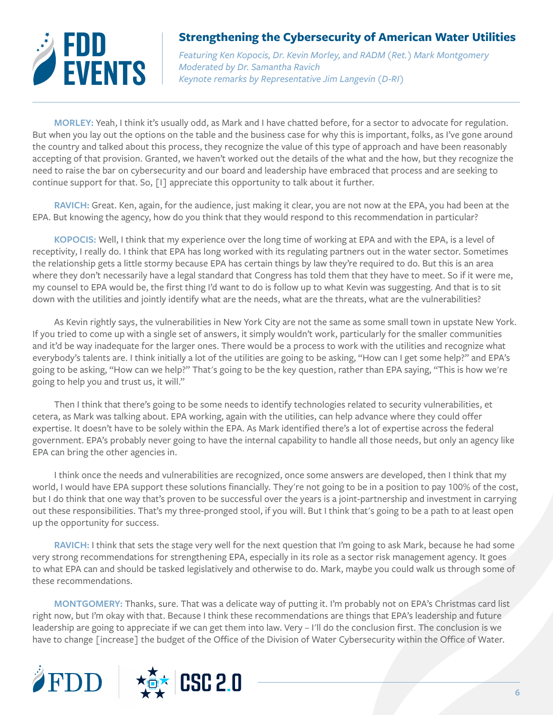

*Featuring Ken Kopocis, Dr. Kevin Morley, and RADM (Ret.) Mark Montgomery Moderated by Dr. Samantha Ravich Keynote remarks by Representative Jim Langevin (D-RI)*

**MORLEY:** Yeah, I think it's usually odd, as Mark and I have chatted before, for a sector to advocate for regulation. But when you lay out the options on the table and the business case for why this is important, folks, as I've gone around the country and talked about this process, they recognize the value of this type of approach and have been reasonably accepting of that provision. Granted, we haven't worked out the details of the what and the how, but they recognize the need to raise the bar on cybersecurity and our board and leadership have embraced that process and are seeking to continue support for that. So, [I] appreciate this opportunity to talk about it further.

**RAVICH:** Great. Ken, again, for the audience, just making it clear, you are not now at the EPA, you had been at the EPA. But knowing the agency, how do you think that they would respond to this recommendation in particular?

**KOPOCIS:** Well, I think that my experience over the long time of working at EPA and with the EPA, is a level of receptivity, I really do. I think that EPA has long worked with its regulating partners out in the water sector. Sometimes the relationship gets a little stormy because EPA has certain things by law they're required to do. But this is an area where they don't necessarily have a legal standard that Congress has told them that they have to meet. So if it were me, my counsel to EPA would be, the first thing I'd want to do is follow up to what Kevin was suggesting. And that is to sit down with the utilities and jointly identify what are the needs, what are the threats, what are the vulnerabilities?

As Kevin rightly says, the vulnerabilities in New York City are not the same as some small town in upstate New York. If you tried to come up with a single set of answers, it simply wouldn't work, particularly for the smaller communities and it'd be way inadequate for the larger ones. There would be a process to work with the utilities and recognize what everybody's talents are. I think initially a lot of the utilities are going to be asking, "How can I get some help?" and EPA's going to be asking, "How can we help?" That's going to be the key question, rather than EPA saying, "This is how we're going to help you and trust us, it will."

Then I think that there's going to be some needs to identify technologies related to security vulnerabilities, et cetera, as Mark was talking about. EPA working, again with the utilities, can help advance where they could offer expertise. It doesn't have to be solely within the EPA. As Mark identified there's a lot of expertise across the federal government. EPA's probably never going to have the internal capability to handle all those needs, but only an agency like EPA can bring the other agencies in.

I think once the needs and vulnerabilities are recognized, once some answers are developed, then I think that my world, I would have EPA support these solutions financially. They're not going to be in a position to pay 100% of the cost, but I do think that one way that's proven to be successful over the years is a joint-partnership and investment in carrying out these responsibilities. That's my three-pronged stool, if you will. But I think that's going to be a path to at least open up the opportunity for success.

**RAVICH:** I think that sets the stage very well for the next question that I'm going to ask Mark, because he had some very strong recommendations for strengthening EPA, especially in its role as a sector risk management agency. It goes to what EPA can and should be tasked legislatively and otherwise to do. Mark, maybe you could walk us through some of these recommendations.

**MONTGOMERY:** Thanks, sure. That was a delicate way of putting it. I'm probably not on EPA's Christmas card list right now, but I'm okay with that. Because I think these recommendations are things that EPA's leadership and future leadership are going to appreciate if we can get them into law. Very – I'll do the conclusion first. The conclusion is we have to change [increase] the budget of the Office of the Division of Water Cybersecurity within the Office of Water.

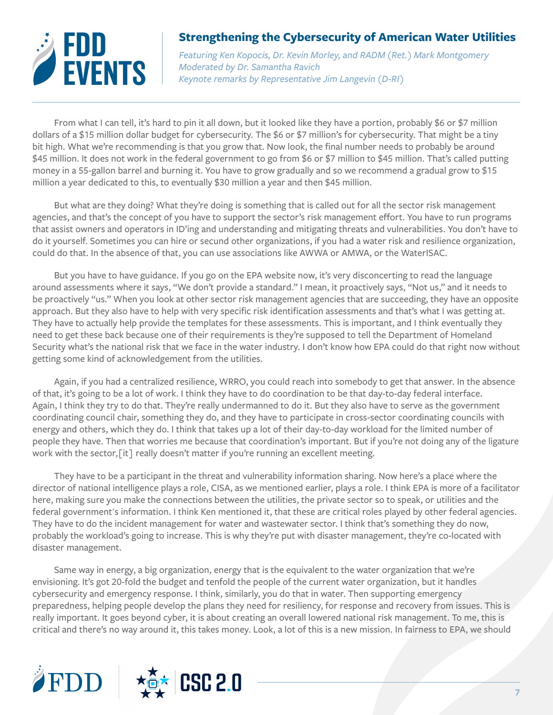

*Featuring Ken Kopocis, Dr. Kevin Morley, and RADM (Ret.) Mark Montgomery Moderated by Dr. Samantha Ravich Keynote remarks by Representative Jim Langevin (D-RI)*

From what I can tell, it's hard to pin it all down, but it looked like they have a portion, probably \$6 or \$7 million dollars of a \$15 million dollar budget for cybersecurity. The \$6 or \$7 million's for cybersecurity. That might be a tiny bit high. What we're recommending is that you grow that. Now look, the final number needs to probably be around \$45 million. It does not work in the federal government to go from \$6 or \$7 million to \$45 million. That's called putting money in a 55-gallon barrel and burning it. You have to grow gradually and so we recommend a gradual grow to \$15 million a year dedicated to this, to eventually \$30 million a year and then \$45 million.

But what are they doing? What they're doing is something that is called out for all the sector risk management agencies, and that's the concept of you have to support the sector's risk management effort. You have to run programs that assist owners and operators in ID'ing and understanding and mitigating threats and vulnerabilities. You don't have to do it yourself. Sometimes you can hire or secund other organizations, if you had a water risk and resilience organization, could do that. In the absence of that, you can use associations like AWWA or AMWA, or the WaterISAC.

But you have to have guidance. If you go on the EPA website now, it's very disconcerting to read the language around assessments where it says, "We don't provide a standard." I mean, it proactively says, "Not us," and it needs to be proactively "us." When you look at other sector risk management agencies that are succeeding, they have an opposite approach. But they also have to help with very specific risk identification assessments and that's what I was getting at. They have to actually help provide the templates for these assessments. This is important, and I think eventually they need to get these back because one of their requirements is they're supposed to tell the Department of Homeland Security what's the national risk that we face in the water industry. I don't know how EPA could do that right now without getting some kind of acknowledgement from the utilities.

Again, if you had a centralized resilience, WRRO, you could reach into somebody to get that answer. In the absence of that, it's going to be a lot of work. I think they have to do coordination to be that day-to-day federal interface. Again, I think they try to do that. They're really undermanned to do it. But they also have to serve as the government coordinating council chair, something they do, and they have to participate in cross-sector coordinating councils with energy and others, which they do. I think that takes up a lot of their day-to-day workload for the limited number of people they have. Then that worries me because that coordination's important. But if you're not doing any of the ligature work with the sector, [it] really doesn't matter if you're running an excellent meeting.

They have to be a participant in the threat and vulnerability information sharing. Now here's a place where the director of national intelligence plays a role, CISA, as we mentioned earlier, plays a role. I think EPA is more of a facilitator here, making sure you make the connections between the utilities, the private sector so to speak, or utilities and the federal government's information. I think Ken mentioned it, that these are critical roles played by other federal agencies. They have to do the incident management for water and wastewater sector. I think that's something they do now, probably the workload's going to increase. This is why they're put with disaster management, they're co-located with disaster management.

Same way in energy, a big organization, energy that is the equivalent to the water organization that we're envisioning. It's got 20-fold the budget and tenfold the people of the current water organization, but it handles cybersecurity and emergency response. I think, similarly, you do that in water. Then supporting emergency preparedness, helping people develop the plans they need for resiliency, for response and recovery from issues. This is really important. It goes beyond cyber, it is about creating an overall lowered national risk management. To me, this is critical and there's no way around it, this takes money. Look, a lot of this is a new mission. In fairness to EPA, we should

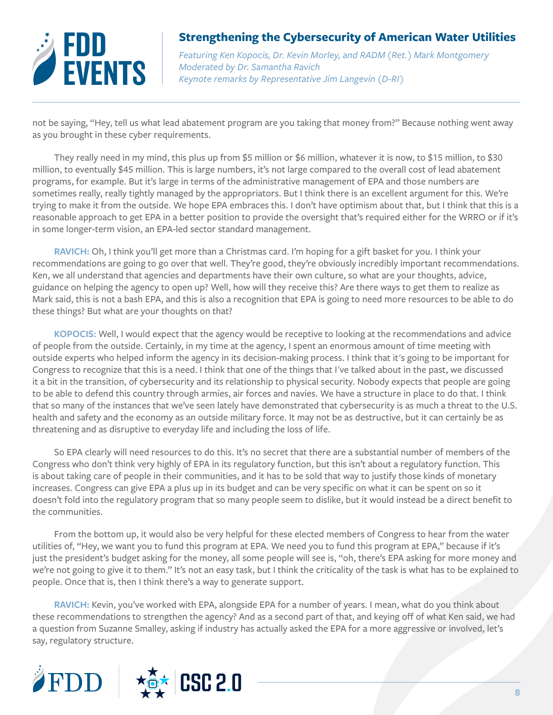

*Featuring Ken Kopocis, Dr. Kevin Morley, and RADM (Ret.) Mark Montgomery Moderated by Dr. Samantha Ravich Keynote remarks by Representative Jim Langevin (D-RI)*

not be saying, "Hey, tell us what lead abatement program are you taking that money from?" Because nothing went away as you brought in these cyber requirements.

They really need in my mind, this plus up from \$5 million or \$6 million, whatever it is now, to \$15 million, to \$30 million, to eventually \$45 million. This is large numbers, it's not large compared to the overall cost of lead abatement programs, for example. But it's large in terms of the administrative management of EPA and those numbers are sometimes really, really tightly managed by the appropriators. But I think there is an excellent argument for this. We're trying to make it from the outside. We hope EPA embraces this. I don't have optimism about that, but I think that this is a reasonable approach to get EPA in a better position to provide the oversight that's required either for the WRRO or if it's in some longer-term vision, an EPA-led sector standard management.

**RAVICH:** Oh, I think you'll get more than a Christmas card. I'm hoping for a gift basket for you. I think your recommendations are going to go over that well. They're good, they're obviously incredibly important recommendations. Ken, we all understand that agencies and departments have their own culture, so what are your thoughts, advice, guidance on helping the agency to open up? Well, how will they receive this? Are there ways to get them to realize as Mark said, this is not a bash EPA, and this is also a recognition that EPA is going to need more resources to be able to do these things? But what are your thoughts on that?

**KOPOCIS:** Well, I would expect that the agency would be receptive to looking at the recommendations and advice of people from the outside. Certainly, in my time at the agency, I spent an enormous amount of time meeting with outside experts who helped inform the agency in its decision-making process. I think that it's going to be important for Congress to recognize that this is a need. I think that one of the things that I've talked about in the past, we discussed it a bit in the transition, of cybersecurity and its relationship to physical security. Nobody expects that people are going to be able to defend this country through armies, air forces and navies. We have a structure in place to do that. I think that so many of the instances that we've seen lately have demonstrated that cybersecurity is as much a threat to the U.S. health and safety and the economy as an outside military force. It may not be as destructive, but it can certainly be as threatening and as disruptive to everyday life and including the loss of life.

So EPA clearly will need resources to do this. It's no secret that there are a substantial number of members of the Congress who don't think very highly of EPA in its regulatory function, but this isn't about a regulatory function. This is about taking care of people in their communities, and it has to be sold that way to justify those kinds of monetary increases. Congress can give EPA a plus up in its budget and can be very specific on what it can be spent on so it doesn't fold into the regulatory program that so many people seem to dislike, but it would instead be a direct benefit to the communities.

From the bottom up, it would also be very helpful for these elected members of Congress to hear from the water utilities of, "Hey, we want you to fund this program at EPA. We need you to fund this program at EPA," because if it's just the president's budget asking for the money, all some people will see is, "oh, there's EPA asking for more money and we're not going to give it to them." It's not an easy task, but I think the criticality of the task is what has to be explained to people. Once that is, then I think there's a way to generate support.

**RAVICH:** Kevin, you've worked with EPA, alongside EPA for a number of years. I mean, what do you think about these recommendations to strengthen the agency? And as a second part of that, and keying off of what Ken said, we had a question from Suzanne Smalley, asking if industry has actually asked the EPA for a more aggressive or involved, let's say, regulatory structure.

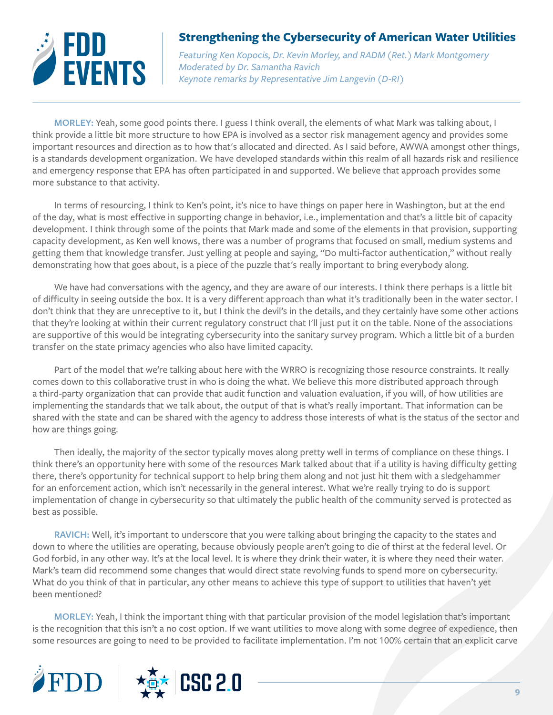

*Featuring Ken Kopocis, Dr. Kevin Morley, and RADM (Ret.) Mark Montgomery Moderated by Dr. Samantha Ravich Keynote remarks by Representative Jim Langevin (D-RI)*

**MORLEY:** Yeah, some good points there. I guess I think overall, the elements of what Mark was talking about, I think provide a little bit more structure to how EPA is involved as a sector risk management agency and provides some important resources and direction as to how that's allocated and directed. As I said before, AWWA amongst other things, is a standards development organization. We have developed standards within this realm of all hazards risk and resilience and emergency response that EPA has often participated in and supported. We believe that approach provides some more substance to that activity.

In terms of resourcing, I think to Ken's point, it's nice to have things on paper here in Washington, but at the end of the day, what is most effective in supporting change in behavior, i.e., implementation and that's a little bit of capacity development. I think through some of the points that Mark made and some of the elements in that provision, supporting capacity development, as Ken well knows, there was a number of programs that focused on small, medium systems and getting them that knowledge transfer. Just yelling at people and saying, "Do multi-factor authentication," without really demonstrating how that goes about, is a piece of the puzzle that's really important to bring everybody along.

We have had conversations with the agency, and they are aware of our interests. I think there perhaps is a little bit of difficulty in seeing outside the box. It is a very different approach than what it's traditionally been in the water sector. I don't think that they are unreceptive to it, but I think the devil's in the details, and they certainly have some other actions that they're looking at within their current regulatory construct that I'll just put it on the table. None of the associations are supportive of this would be integrating cybersecurity into the sanitary survey program. Which a little bit of a burden transfer on the state primacy agencies who also have limited capacity.

Part of the model that we're talking about here with the WRRO is recognizing those resource constraints. It really comes down to this collaborative trust in who is doing the what. We believe this more distributed approach through a third-party organization that can provide that audit function and valuation evaluation, if you will, of how utilities are implementing the standards that we talk about, the output of that is what's really important. That information can be shared with the state and can be shared with the agency to address those interests of what is the status of the sector and how are things going.

Then ideally, the majority of the sector typically moves along pretty well in terms of compliance on these things. I think there's an opportunity here with some of the resources Mark talked about that if a utility is having difficulty getting there, there's opportunity for technical support to help bring them along and not just hit them with a sledgehammer for an enforcement action, which isn't necessarily in the general interest. What we're really trying to do is support implementation of change in cybersecurity so that ultimately the public health of the community served is protected as best as possible.

**RAVICH:** Well, it's important to underscore that you were talking about bringing the capacity to the states and down to where the utilities are operating, because obviously people aren't going to die of thirst at the federal level. Or God forbid, in any other way. It's at the local level. It is where they drink their water, it is where they need their water. Mark's team did recommend some changes that would direct state revolving funds to spend more on cybersecurity. What do you think of that in particular, any other means to achieve this type of support to utilities that haven't yet been mentioned?

**MORLEY:** Yeah, I think the important thing with that particular provision of the model legislation that's important is the recognition that this isn't a no cost option. If we want utilities to move along with some degree of expedience, then some resources are going to need to be provided to facilitate implementation. I'm not 100% certain that an explicit carve

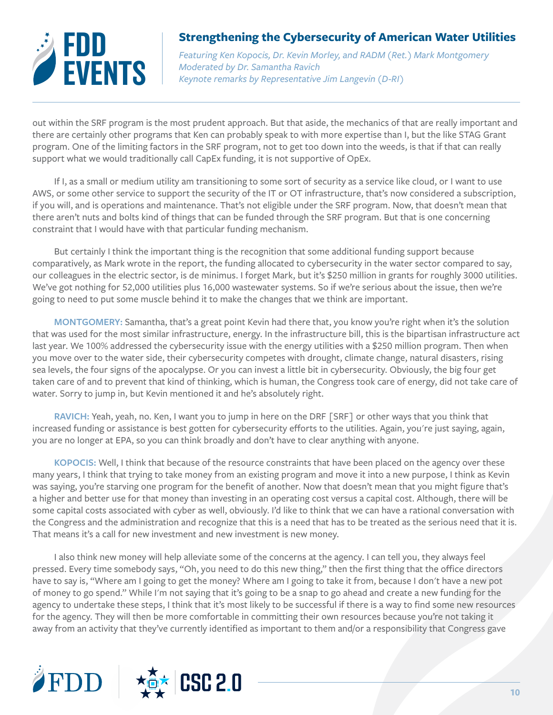

*Featuring Ken Kopocis, Dr. Kevin Morley, and RADM (Ret.) Mark Montgomery Moderated by Dr. Samantha Ravich Keynote remarks by Representative Jim Langevin (D-RI)*

out within the SRF program is the most prudent approach. But that aside, the mechanics of that are really important and there are certainly other programs that Ken can probably speak to with more expertise than I, but the like STAG Grant program. One of the limiting factors in the SRF program, not to get too down into the weeds, is that if that can really support what we would traditionally call CapEx funding, it is not supportive of OpEx.

If I, as a small or medium utility am transitioning to some sort of security as a service like cloud, or I want to use AWS, or some other service to support the security of the IT or OT infrastructure, that's now considered a subscription, if you will, and is operations and maintenance. That's not eligible under the SRF program. Now, that doesn't mean that there aren't nuts and bolts kind of things that can be funded through the SRF program. But that is one concerning constraint that I would have with that particular funding mechanism.

But certainly I think the important thing is the recognition that some additional funding support because comparatively, as Mark wrote in the report, the funding allocated to cybersecurity in the water sector compared to say, our colleagues in the electric sector, is de minimus. I forget Mark, but it's \$250 million in grants for roughly 3000 utilities. We've got nothing for 52,000 utilities plus 16,000 wastewater systems. So if we're serious about the issue, then we're going to need to put some muscle behind it to make the changes that we think are important.

**MONTGOMERY:** Samantha, that's a great point Kevin had there that, you know you're right when it's the solution that was used for the most similar infrastructure, energy. In the infrastructure bill, this is the bipartisan infrastructure act last year. We 100% addressed the cybersecurity issue with the energy utilities with a \$250 million program. Then when you move over to the water side, their cybersecurity competes with drought, climate change, natural disasters, rising sea levels, the four signs of the apocalypse. Or you can invest a little bit in cybersecurity. Obviously, the big four get taken care of and to prevent that kind of thinking, which is human, the Congress took care of energy, did not take care of water. Sorry to jump in, but Kevin mentioned it and he's absolutely right.

**RAVICH:** Yeah, yeah, no. Ken, I want you to jump in here on the DRF [SRF] or other ways that you think that increased funding or assistance is best gotten for cybersecurity efforts to the utilities. Again, you're just saying, again, you are no longer at EPA, so you can think broadly and don't have to clear anything with anyone.

**KOPOCIS:** Well, I think that because of the resource constraints that have been placed on the agency over these many years, I think that trying to take money from an existing program and move it into a new purpose, I think as Kevin was saying, you're starving one program for the benefit of another. Now that doesn't mean that you might figure that's a higher and better use for that money than investing in an operating cost versus a capital cost. Although, there will be some capital costs associated with cyber as well, obviously. I'd like to think that we can have a rational conversation with the Congress and the administration and recognize that this is a need that has to be treated as the serious need that it is. That means it's a call for new investment and new investment is new money.

I also think new money will help alleviate some of the concerns at the agency. I can tell you, they always feel pressed. Every time somebody says, "Oh, you need to do this new thing," then the first thing that the office directors have to say is, "Where am I going to get the money? Where am I going to take it from, because I don't have a new pot of money to go spend." While I'm not saying that it's going to be a snap to go ahead and create a new funding for the agency to undertake these steps, I think that it's most likely to be successful if there is a way to find some new resources for the agency. They will then be more comfortable in committing their own resources because you're not taking it away from an activity that they've currently identified as important to them and/or a responsibility that Congress gave

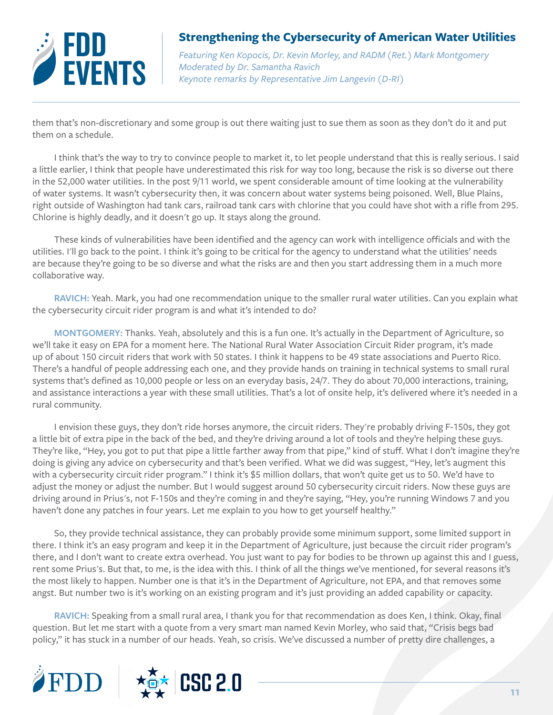

*Featuring Ken Kopocis, Dr. Kevin Morley, and RADM (Ret.) Mark Montgomery Moderated by Dr. Samantha Ravich Keynote remarks by Representative Jim Langevin (D-RI)*

them that's non-discretionary and some group is out there waiting just to sue them as soon as they don't do it and put them on a schedule.

I think that's the way to try to convince people to market it, to let people understand that this is really serious. I said a little earlier, I think that people have underestimated this risk for way too long, because the risk is so diverse out there in the 52,000 water utilities. In the post 9/11 world, we spent considerable amount of time looking at the vulnerability of water systems. It wasn't cybersecurity then, it was concern about water systems being poisoned. Well, Blue Plains, right outside of Washington had tank cars, railroad tank cars with chlorine that you could have shot with a rifle from 295. Chlorine is highly deadly, and it doesn't go up. It stays along the ground.

These kinds of vulnerabilities have been identified and the agency can work with intelligence officials and with the utilities. I'll go back to the point. I think it's going to be critical for the agency to understand what the utilities' needs are because they're going to be so diverse and what the risks are and then you start addressing them in a much more collaborative way.

**RAVICH:** Yeah. Mark, you had one recommendation unique to the smaller rural water utilities. Can you explain what the cybersecurity circuit rider program is and what it's intended to do?

**MONTGOMERY:** Thanks. Yeah, absolutely and this is a fun one. It's actually in the Department of Agriculture, so we'll take it easy on EPA for a moment here. The National Rural Water Association Circuit Rider program, it's made up of about 150 circuit riders that work with 50 states. I think it happens to be 49 state associations and Puerto Rico. There's a handful of people addressing each one, and they provide hands on training in technical systems to small rural systems that's defined as 10,000 people or less on an everyday basis, 24/7. They do about 70,000 interactions, training, and assistance interactions a year with these small utilities. That's a lot of onsite help, it's delivered where it's needed in a rural community.

I envision these guys, they don't ride horses anymore, the circuit riders. They're probably driving F-150s, they got a little bit of extra pipe in the back of the bed, and they're driving around a lot of tools and they're helping these guys. They're like, "Hey, you got to put that pipe a little farther away from that pipe," kind of stuff. What I don't imagine they're doing is giving any advice on cybersecurity and that's been verified. What we did was suggest, "Hey, let's augment this with a cybersecurity circuit rider program." I think it's \$5 million dollars, that won't quite get us to 50. We'd have to adjust the money or adjust the number. But I would suggest around 50 cybersecurity circuit riders. Now these guys are driving around in Prius's, not F-150s and they're coming in and they're saying, "Hey, you're running Windows 7 and you haven't done any patches in four years. Let me explain to you how to get yourself healthy."

So, they provide technical assistance, they can probably provide some minimum support, some limited support in there. I think it's an easy program and keep it in the Department of Agriculture, just because the circuit rider program's there, and I don't want to create extra overhead. You just want to pay for bodies to be thrown up against this and I guess, rent some Prius's. But that, to me, is the idea with this. I think of all the things we've mentioned, for several reasons it's the most likely to happen. Number one is that it's in the Department of Agriculture, not EPA, and that removes some angst. But number two is it's working on an existing program and it's just providing an added capability or capacity.

**RAVICH:** Speaking from a small rural area, I thank you for that recommendation as does Ken, I think. Okay, final question. But let me start with a quote from a very smart man named Kevin Morley, who said that, "Crisis begs bad policy," it has stuck in a number of our heads. Yeah, so crisis. We've discussed a number of pretty dire challenges, a

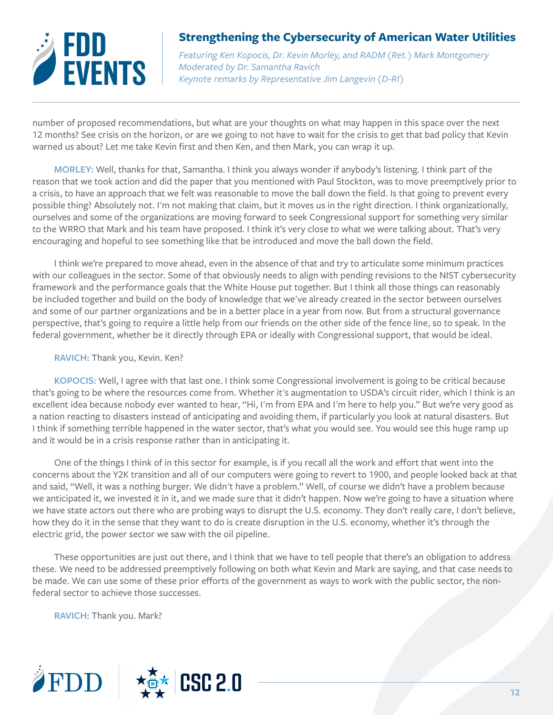

*Featuring Ken Kopocis, Dr. Kevin Morley, and RADM (Ret.) Mark Montgomery Moderated by Dr. Samantha Ravich Keynote remarks by Representative Jim Langevin (D-RI)*

number of proposed recommendations, but what are your thoughts on what may happen in this space over the next 12 months? See crisis on the horizon, or are we going to not have to wait for the crisis to get that bad policy that Kevin warned us about? Let me take Kevin first and then Ken, and then Mark, you can wrap it up.

**MORLEY:** Well, thanks for that, Samantha. I think you always wonder if anybody's listening. I think part of the reason that we took action and did the paper that you mentioned with Paul Stockton, was to move preemptively prior to a crisis, to have an approach that we felt was reasonable to move the ball down the field. Is that going to prevent every possible thing? Absolutely not. I'm not making that claim, but it moves us in the right direction. I think organizationally, ourselves and some of the organizations are moving forward to seek Congressional support for something very similar to the WRRO that Mark and his team have proposed. I think it's very close to what we were talking about. That's very encouraging and hopeful to see something like that be introduced and move the ball down the field.

I think we're prepared to move ahead, even in the absence of that and try to articulate some minimum practices with our colleagues in the sector. Some of that obviously needs to align with pending revisions to the NIST cybersecurity framework and the performance goals that the White House put together. But I think all those things can reasonably be included together and build on the body of knowledge that we've already created in the sector between ourselves and some of our partner organizations and be in a better place in a year from now. But from a structural governance perspective, that's going to require a little help from our friends on the other side of the fence line, so to speak. In the federal government, whether be it directly through EPA or ideally with Congressional support, that would be ideal.

#### **RAVICH:** Thank you, Kevin. Ken?

**KOPOCIS:** Well, I agree with that last one. I think some Congressional involvement is going to be critical because that's going to be where the resources come from. Whether it's augmentation to USDA's circuit rider, which I think is an excellent idea because nobody ever wanted to hear, "Hi, I'm from EPA and I'm here to help you." But we're very good as a nation reacting to disasters instead of anticipating and avoiding them, if particularly you look at natural disasters. But I think if something terrible happened in the water sector, that's what you would see. You would see this huge ramp up and it would be in a crisis response rather than in anticipating it.

One of the things I think of in this sector for example, is if you recall all the work and effort that went into the concerns about the Y2K transition and all of our computers were going to revert to 1900, and people looked back at that and said, "Well, it was a nothing burger. We didn't have a problem." Well, of course we didn't have a problem because we anticipated it, we invested it in it, and we made sure that it didn't happen. Now we're going to have a situation where we have state actors out there who are probing ways to disrupt the U.S. economy. They don't really care, I don't believe, how they do it in the sense that they want to do is create disruption in the U.S. economy, whether it's through the electric grid, the power sector we saw with the oil pipeline.

These opportunities are just out there, and I think that we have to tell people that there's an obligation to address these. We need to be addressed preemptively following on both what Kevin and Mark are saying, and that case needs to be made. We can use some of these prior efforts of the government as ways to work with the public sector, the nonfederal sector to achieve those successes.

**RAVICH:** Thank you. Mark?